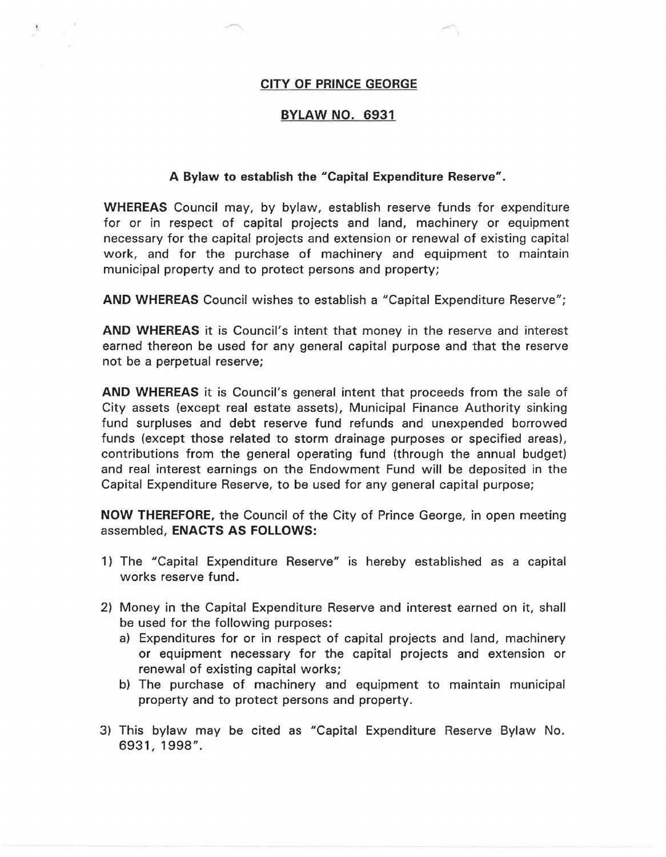## **CITY OF PRINCE GEORGE**

## **BYLAW NO. 6931**

## **A Bylaw to establish the "Capital Expenditure Reserve".**

**WHEREAS** Council may, by bylaw, establish reserve funds for expenditure for or in respect of capital projects and land, machinery or equipment necessary for the capital projects and extension or renewal of existing capital work, and for the purchase of machinery and equipment to maintain municipal property and to protect persons and property;

**AND WHEREAS** Council wishes to establish a "Capital Expenditure Reserve";

**AND WHEREAS** it is Council's intent that money in the reserve and interest earned thereon be used for any general capital purpose and that the reserve not be a perpetual reserve;

**AND WHEREAS** it is Council's general intent that proceeds from the sale of City assets (except real estate assets), Municipal Finance Authority sinking fund surpluses and debt reserve fund refunds and unexpended borrowed funds (except those related to storm drainage purposes or specified areas), contributions from the general operating fund (through the annual budget) and real interest earnings on the Endowment Fund will be deposited in the Capital Expenditure Reserve, to be used for any general capital purpose;

**NOW THEREFORE,** the Council of the City of Prince George, in open meeting assembled, **ENACTS AS FOLLOWS:** 

- 1) The "Capital Expenditure Reserve" is hereby established as a capital works reserve fund.
- 2) Money in the Capital Expenditure Reserve and interest earned on it, shall be used for the following purposes:
	- a) Expenditures for or in respect of capital projects and land, machinery or equipment necessary for the capital projects and extension or renewal of existing capital works;
	- b) The purchase of machinery and equipment to maintain municipal property and to protect persons and property.
- 3) This bylaw may be cited as "Capital Expenditure Reserve Bylaw No. 6931, 1998".